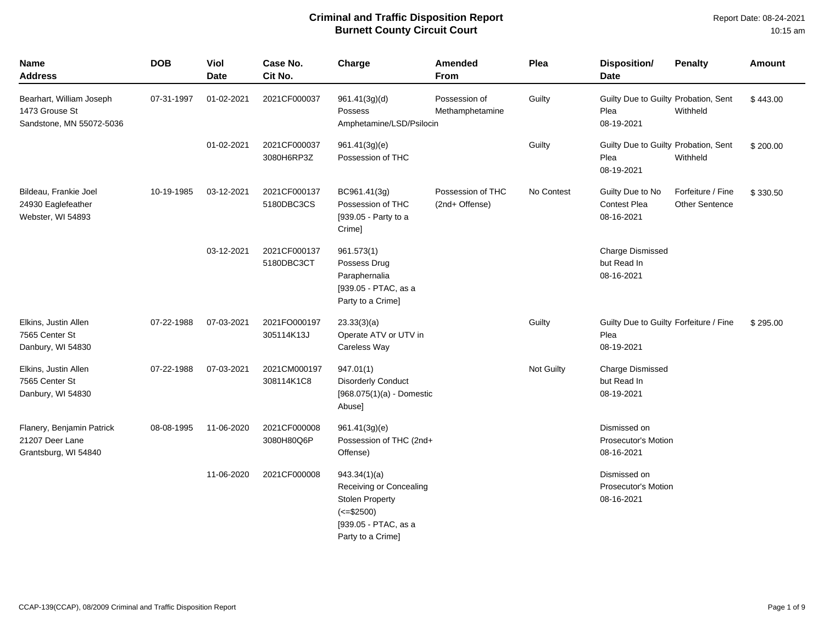| <b>Name</b><br><b>Address</b>                                          | <b>DOB</b> | Viol<br><b>Date</b> | Case No.<br>Cit No.        | Charge                                                                                                                         | Amended<br>From                     | Plea       | <b>Disposition/</b><br><b>Date</b>                           | <b>Penalty</b>                             | <b>Amount</b> |
|------------------------------------------------------------------------|------------|---------------------|----------------------------|--------------------------------------------------------------------------------------------------------------------------------|-------------------------------------|------------|--------------------------------------------------------------|--------------------------------------------|---------------|
| Bearhart, William Joseph<br>1473 Grouse St<br>Sandstone, MN 55072-5036 | 07-31-1997 | 01-02-2021          | 2021CF000037               | 961.41(3g)(d)<br>Possess<br>Amphetamine/LSD/Psilocin                                                                           | Possession of<br>Methamphetamine    | Guilty     | Guilty Due to Guilty Probation, Sent<br>Plea<br>08-19-2021   | Withheld                                   | \$443.00      |
|                                                                        |            | 01-02-2021          | 2021CF000037<br>3080H6RP3Z | 961.41(3g)(e)<br>Possession of THC                                                                                             |                                     | Guilty     | Guilty Due to Guilty Probation, Sent<br>Plea<br>08-19-2021   | Withheld                                   | \$200.00      |
| Bildeau, Frankie Joel<br>24930 Eaglefeather<br>Webster, WI 54893       | 10-19-1985 | 03-12-2021          | 2021CF000137<br>5180DBC3CS | BC961.41(3g)<br>Possession of THC<br>[939.05 - Party to a<br>Crime]                                                            | Possession of THC<br>(2nd+ Offense) | No Contest | Guilty Due to No<br>Contest Plea<br>08-16-2021               | Forfeiture / Fine<br><b>Other Sentence</b> | \$330.50      |
|                                                                        |            | 03-12-2021          | 2021CF000137<br>5180DBC3CT | 961.573(1)<br>Possess Drug<br>Paraphernalia<br>[939.05 - PTAC, as a<br>Party to a Crime]                                       |                                     |            | <b>Charge Dismissed</b><br>but Read In<br>08-16-2021         |                                            |               |
| Elkins, Justin Allen<br>7565 Center St<br>Danbury, WI 54830            | 07-22-1988 | 07-03-2021          | 2021FO000197<br>305114K13J | 23.33(3)(a)<br>Operate ATV or UTV in<br>Careless Way                                                                           |                                     | Guilty     | Guilty Due to Guilty Forfeiture / Fine<br>Plea<br>08-19-2021 |                                            | \$295.00      |
| Elkins, Justin Allen<br>7565 Center St<br>Danbury, WI 54830            | 07-22-1988 | 07-03-2021          | 2021CM000197<br>308114K1C8 | 947.01(1)<br><b>Disorderly Conduct</b><br>$[968.075(1)(a) - Domestic$<br><b>Abusel</b>                                         |                                     | Not Guilty | <b>Charge Dismissed</b><br>but Read In<br>08-19-2021         |                                            |               |
| Flanery, Benjamin Patrick<br>21207 Deer Lane<br>Grantsburg, WI 54840   | 08-08-1995 | 11-06-2020          | 2021CF000008<br>3080H80Q6P | 961.41(3g)(e)<br>Possession of THC (2nd+<br>Offense)                                                                           |                                     |            | Dismissed on<br>Prosecutor's Motion<br>08-16-2021            |                                            |               |
|                                                                        |            | 11-06-2020          | 2021CF000008               | 943.34(1)(a)<br>Receiving or Concealing<br><b>Stolen Property</b><br>$(<= $2500)$<br>[939.05 - PTAC, as a<br>Party to a Crime] |                                     |            | Dismissed on<br><b>Prosecutor's Motion</b><br>08-16-2021     |                                            |               |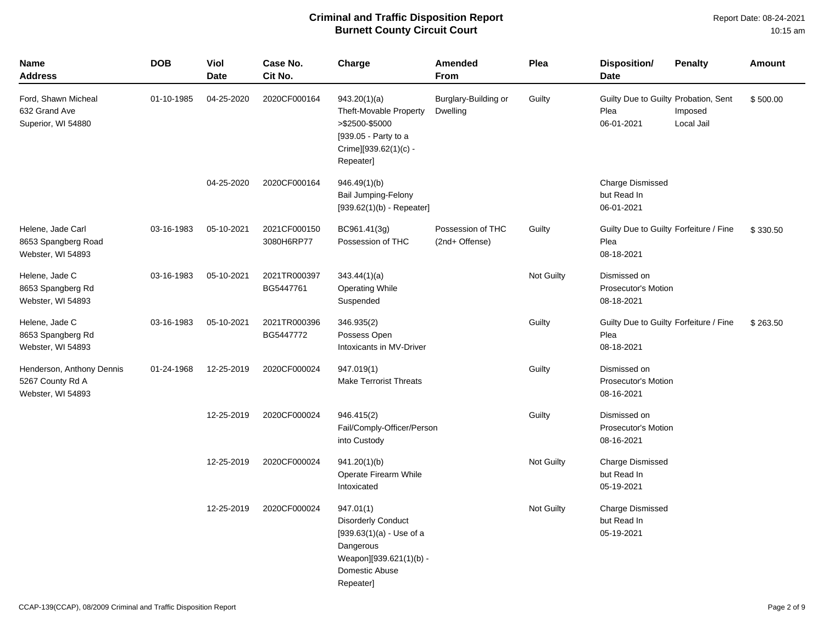| <b>Name</b><br><b>Address</b>                                      | <b>DOB</b> | <b>Viol</b><br><b>Date</b> | Case No.<br>Cit No.        | Charge                                                                                                                                      | <b>Amended</b><br>From                  | Plea       | <b>Disposition/</b><br><b>Date</b>                           | <b>Penalty</b>        | <b>Amount</b> |
|--------------------------------------------------------------------|------------|----------------------------|----------------------------|---------------------------------------------------------------------------------------------------------------------------------------------|-----------------------------------------|------------|--------------------------------------------------------------|-----------------------|---------------|
| Ford, Shawn Micheal<br>632 Grand Ave<br>Superior, WI 54880         | 01-10-1985 | 04-25-2020                 | 2020CF000164               | 943.20(1)(a)<br>Theft-Movable Property<br>>\$2500-\$5000<br>[939.05 - Party to a<br>Crime][939.62(1)(c) -<br>Repeater]                      | Burglary-Building or<br><b>Dwelling</b> | Guilty     | Guilty Due to Guilty Probation, Sent<br>Plea<br>06-01-2021   | Imposed<br>Local Jail | \$500.00      |
|                                                                    |            | 04-25-2020                 | 2020CF000164               | 946.49(1)(b)<br><b>Bail Jumping-Felony</b><br>$[939.62(1)(b) - Repeated]$                                                                   |                                         |            | <b>Charge Dismissed</b><br>but Read In<br>06-01-2021         |                       |               |
| Helene, Jade Carl<br>8653 Spangberg Road<br>Webster, WI 54893      | 03-16-1983 | 05-10-2021                 | 2021CF000150<br>3080H6RP77 | BC961.41(3g)<br>Possession of THC                                                                                                           | Possession of THC<br>(2nd+ Offense)     | Guilty     | Guilty Due to Guilty Forfeiture / Fine<br>Plea<br>08-18-2021 |                       | \$330.50      |
| Helene, Jade C<br>8653 Spangberg Rd<br>Webster, WI 54893           | 03-16-1983 | 05-10-2021                 | 2021TR000397<br>BG5447761  | 343.44(1)(a)<br><b>Operating While</b><br>Suspended                                                                                         |                                         | Not Guilty | Dismissed on<br><b>Prosecutor's Motion</b><br>08-18-2021     |                       |               |
| Helene, Jade C<br>8653 Spangberg Rd<br>Webster, WI 54893           | 03-16-1983 | 05-10-2021                 | 2021TR000396<br>BG5447772  | 346.935(2)<br>Possess Open<br>Intoxicants in MV-Driver                                                                                      |                                         | Guilty     | Guilty Due to Guilty Forfeiture / Fine<br>Plea<br>08-18-2021 |                       | \$263.50      |
| Henderson, Anthony Dennis<br>5267 County Rd A<br>Webster, WI 54893 | 01-24-1968 | 12-25-2019                 | 2020CF000024               | 947.019(1)<br><b>Make Terrorist Threats</b>                                                                                                 |                                         | Guilty     | Dismissed on<br>Prosecutor's Motion<br>08-16-2021            |                       |               |
|                                                                    |            | 12-25-2019                 | 2020CF000024               | 946.415(2)<br>Fail/Comply-Officer/Person<br>into Custody                                                                                    |                                         | Guilty     | Dismissed on<br><b>Prosecutor's Motion</b><br>08-16-2021     |                       |               |
|                                                                    |            | 12-25-2019                 | 2020CF000024               | 941.20(1)(b)<br>Operate Firearm While<br>Intoxicated                                                                                        |                                         | Not Guilty | <b>Charge Dismissed</b><br>but Read In<br>05-19-2021         |                       |               |
|                                                                    |            | 12-25-2019                 | 2020CF000024               | 947.01(1)<br><b>Disorderly Conduct</b><br>$[939.63(1)(a) - Use of a$<br>Dangerous<br>Weapon][939.621(1)(b) -<br>Domestic Abuse<br>Repeater] |                                         | Not Guilty | <b>Charge Dismissed</b><br>but Read In<br>05-19-2021         |                       |               |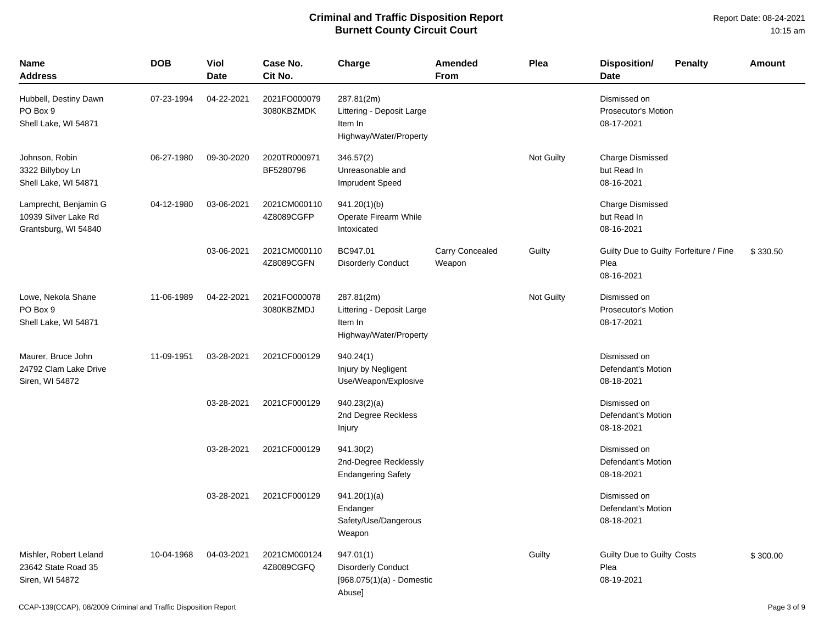| <b>Name</b><br><b>Address</b>                                         | <b>DOB</b> | Viol<br><b>Date</b> | Case No.<br>Cit No.        | Charge                                                                          | Amended<br>From           | Plea       | <b>Disposition/</b><br><b>Penalty</b><br><b>Date</b>         | Amount   |
|-----------------------------------------------------------------------|------------|---------------------|----------------------------|---------------------------------------------------------------------------------|---------------------------|------------|--------------------------------------------------------------|----------|
| Hubbell, Destiny Dawn<br>PO Box 9<br>Shell Lake, WI 54871             | 07-23-1994 | 04-22-2021          | 2021FO000079<br>3080KBZMDK | 287.81(2m)<br>Littering - Deposit Large<br>Item In<br>Highway/Water/Property    |                           |            | Dismissed on<br>Prosecutor's Motion<br>08-17-2021            |          |
| Johnson, Robin<br>3322 Billyboy Ln<br>Shell Lake, WI 54871            | 06-27-1980 | 09-30-2020          | 2020TR000971<br>BF5280796  | 346.57(2)<br>Unreasonable and<br><b>Imprudent Speed</b>                         |                           | Not Guilty | <b>Charge Dismissed</b><br>but Read In<br>08-16-2021         |          |
| Lamprecht, Benjamin G<br>10939 Silver Lake Rd<br>Grantsburg, WI 54840 | 04-12-1980 | 03-06-2021          | 2021CM000110<br>4Z8089CGFP | 941.20(1)(b)<br>Operate Firearm While<br>Intoxicated                            |                           |            | <b>Charge Dismissed</b><br>but Read In<br>08-16-2021         |          |
|                                                                       |            | 03-06-2021          | 2021CM000110<br>4Z8089CGFN | BC947.01<br><b>Disorderly Conduct</b>                                           | Carry Concealed<br>Weapon | Guilty     | Guilty Due to Guilty Forfeiture / Fine<br>Plea<br>08-16-2021 | \$330.50 |
| Lowe, Nekola Shane<br>PO Box 9<br>Shell Lake, WI 54871                | 11-06-1989 | 04-22-2021          | 2021FO000078<br>3080KBZMDJ | 287.81(2m)<br>Littering - Deposit Large<br>Item In<br>Highway/Water/Property    |                           | Not Guilty | Dismissed on<br>Prosecutor's Motion<br>08-17-2021            |          |
| Maurer, Bruce John<br>24792 Clam Lake Drive<br>Siren, WI 54872        | 11-09-1951 | 03-28-2021          | 2021CF000129               | 940.24(1)<br>Injury by Negligent<br>Use/Weapon/Explosive                        |                           |            | Dismissed on<br>Defendant's Motion<br>08-18-2021             |          |
|                                                                       |            | 03-28-2021          | 2021CF000129               | 940.23(2)(a)<br>2nd Degree Reckless<br>Injury                                   |                           |            | Dismissed on<br>Defendant's Motion<br>08-18-2021             |          |
|                                                                       |            | 03-28-2021          | 2021CF000129               | 941.30(2)<br>2nd-Degree Recklessly<br><b>Endangering Safety</b>                 |                           |            | Dismissed on<br>Defendant's Motion<br>08-18-2021             |          |
|                                                                       |            | 03-28-2021          | 2021CF000129               | 941.20(1)(a)<br>Endanger<br>Safety/Use/Dangerous<br>Weapon                      |                           |            | Dismissed on<br>Defendant's Motion<br>08-18-2021             |          |
| Mishler, Robert Leland<br>23642 State Road 35<br>Siren, WI 54872      | 10-04-1968 | 04-03-2021          | 2021CM000124<br>4Z8089CGFQ | 947.01(1)<br><b>Disorderly Conduct</b><br>$[968.075(1)(a) -$ Domestic<br>Abuse] |                           | Guilty     | Guilty Due to Guilty Costs<br>Plea<br>08-19-2021             | \$300.00 |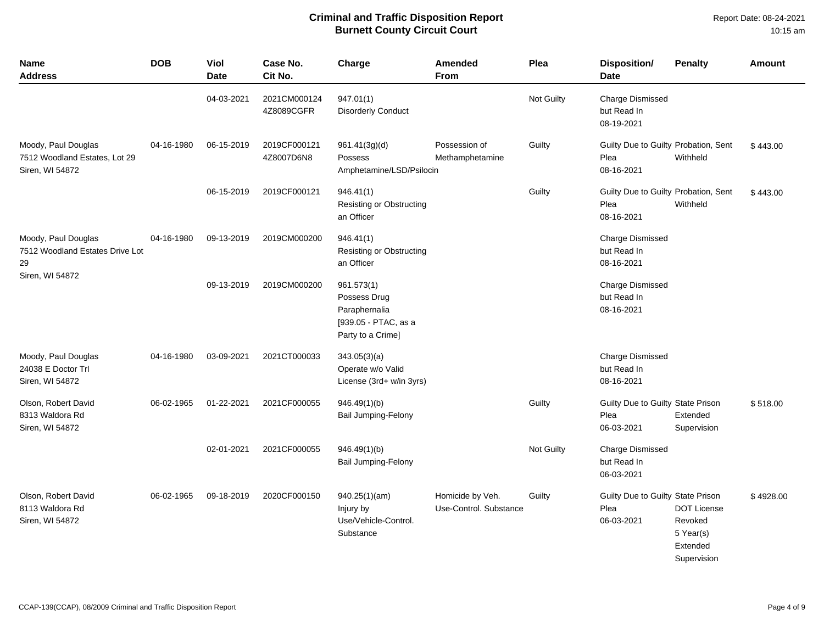| <b>Name</b><br>Address                                                  | <b>DOB</b> | Viol<br><b>Date</b> | Case No.<br>Cit No.        | Charge                                                                                   | <b>Amended</b><br><b>From</b>              | Plea       | <b>Disposition/</b><br><b>Date</b>                         | <b>Penalty</b>                                                        | Amount    |
|-------------------------------------------------------------------------|------------|---------------------|----------------------------|------------------------------------------------------------------------------------------|--------------------------------------------|------------|------------------------------------------------------------|-----------------------------------------------------------------------|-----------|
|                                                                         |            | 04-03-2021          | 2021CM000124<br>4Z8089CGFR | 947.01(1)<br><b>Disorderly Conduct</b>                                                   |                                            | Not Guilty | <b>Charge Dismissed</b><br>but Read In<br>08-19-2021       |                                                                       |           |
| Moody, Paul Douglas<br>7512 Woodland Estates, Lot 29<br>Siren, WI 54872 | 04-16-1980 | 06-15-2019          | 2019CF000121<br>4Z8007D6N8 | 961.41(3g)(d)<br>Possess<br>Amphetamine/LSD/Psilocin                                     | Possession of<br>Methamphetamine           | Guilty     | Guilty Due to Guilty Probation, Sent<br>Plea<br>08-16-2021 | Withheld                                                              | \$443.00  |
|                                                                         |            | 06-15-2019          | 2019CF000121               | 946.41(1)<br>Resisting or Obstructing<br>an Officer                                      |                                            | Guilty     | Guilty Due to Guilty Probation, Sent<br>Plea<br>08-16-2021 | Withheld                                                              | \$443.00  |
| Moody, Paul Douglas<br>7512 Woodland Estates Drive Lot<br>29            | 04-16-1980 | 09-13-2019          | 2019CM000200               | 946.41(1)<br><b>Resisting or Obstructing</b><br>an Officer                               |                                            |            | <b>Charge Dismissed</b><br>but Read In<br>08-16-2021       |                                                                       |           |
| Siren, WI 54872                                                         |            | 09-13-2019          | 2019CM000200               | 961.573(1)<br>Possess Drug<br>Paraphernalia<br>[939.05 - PTAC, as a<br>Party to a Crime] |                                            |            | <b>Charge Dismissed</b><br>but Read In<br>08-16-2021       |                                                                       |           |
| Moody, Paul Douglas<br>24038 E Doctor Trl<br>Siren, WI 54872            | 04-16-1980 | 03-09-2021          | 2021CT000033               | 343.05(3)(a)<br>Operate w/o Valid<br>License (3rd+ w/in 3yrs)                            |                                            |            | <b>Charge Dismissed</b><br>but Read In<br>08-16-2021       |                                                                       |           |
| Olson, Robert David<br>8313 Waldora Rd<br>Siren, WI 54872               | 06-02-1965 | 01-22-2021          | 2021CF000055               | 946.49(1)(b)<br><b>Bail Jumping-Felony</b>                                               |                                            | Guilty     | Guilty Due to Guilty State Prison<br>Plea<br>06-03-2021    | Extended<br>Supervision                                               | \$518.00  |
|                                                                         |            | 02-01-2021          | 2021CF000055               | 946.49(1)(b)<br>Bail Jumping-Felony                                                      |                                            | Not Guilty | <b>Charge Dismissed</b><br>but Read In<br>06-03-2021       |                                                                       |           |
| Olson, Robert David<br>8113 Waldora Rd<br>Siren, WI 54872               | 06-02-1965 | 09-18-2019          | 2020CF000150               | 940.25(1)(am)<br>Injury by<br>Use/Vehicle-Control.<br>Substance                          | Homicide by Veh.<br>Use-Control. Substance | Guilty     | Guilty Due to Guilty State Prison<br>Plea<br>06-03-2021    | <b>DOT License</b><br>Revoked<br>5 Year(s)<br>Extended<br>Supervision | \$4928.00 |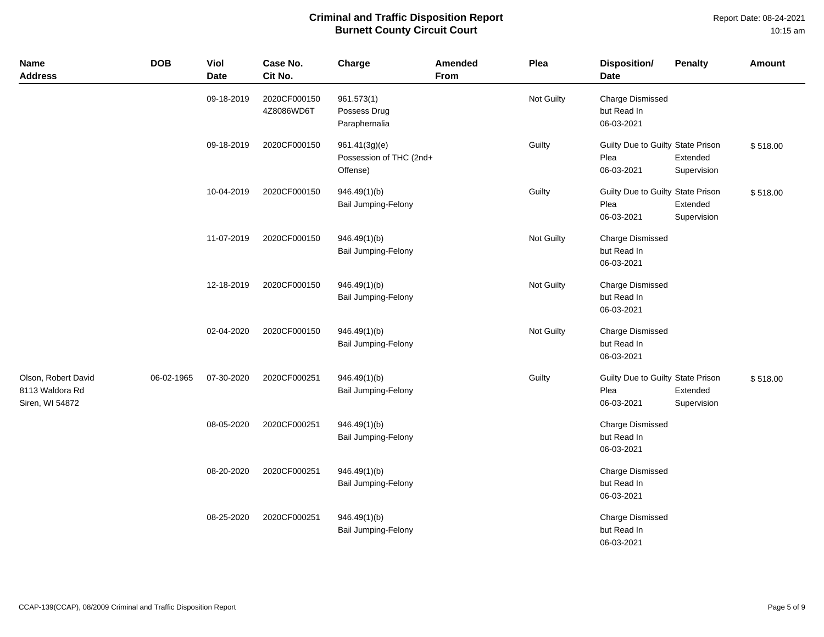Report Date: 08-24-2021 10:15 am

| <b>Name</b><br><b>Address</b>                             | <b>DOB</b> | Viol<br><b>Date</b> | Case No.<br>Cit No.        | Charge                                               | <b>Amended</b><br>From | Plea       | Disposition/<br>Date                                    | <b>Penalty</b>          | <b>Amount</b> |
|-----------------------------------------------------------|------------|---------------------|----------------------------|------------------------------------------------------|------------------------|------------|---------------------------------------------------------|-------------------------|---------------|
|                                                           |            | 09-18-2019          | 2020CF000150<br>4Z8086WD6T | 961.573(1)<br>Possess Drug<br>Paraphernalia          |                        | Not Guilty | <b>Charge Dismissed</b><br>but Read In<br>06-03-2021    |                         |               |
|                                                           |            | 09-18-2019          | 2020CF000150               | 961.41(3g)(e)<br>Possession of THC (2nd+<br>Offense) |                        | Guilty     | Guilty Due to Guilty State Prison<br>Plea<br>06-03-2021 | Extended<br>Supervision | \$518.00      |
|                                                           |            | 10-04-2019          | 2020CF000150               | 946.49(1)(b)<br>Bail Jumping-Felony                  |                        | Guilty     | Guilty Due to Guilty State Prison<br>Plea<br>06-03-2021 | Extended<br>Supervision | \$518.00      |
|                                                           |            | 11-07-2019          | 2020CF000150               | 946.49(1)(b)<br>Bail Jumping-Felony                  |                        | Not Guilty | <b>Charge Dismissed</b><br>but Read In<br>06-03-2021    |                         |               |
|                                                           |            | 12-18-2019          | 2020CF000150               | 946.49(1)(b)<br>Bail Jumping-Felony                  |                        | Not Guilty | <b>Charge Dismissed</b><br>but Read In<br>06-03-2021    |                         |               |
|                                                           |            | 02-04-2020          | 2020CF000150               | 946.49(1)(b)<br>Bail Jumping-Felony                  |                        | Not Guilty | <b>Charge Dismissed</b><br>but Read In<br>06-03-2021    |                         |               |
| Olson, Robert David<br>8113 Waldora Rd<br>Siren, WI 54872 | 06-02-1965 | 07-30-2020          | 2020CF000251               | 946.49(1)(b)<br><b>Bail Jumping-Felony</b>           |                        | Guilty     | Guilty Due to Guilty State Prison<br>Plea<br>06-03-2021 | Extended<br>Supervision | \$518.00      |
|                                                           |            | 08-05-2020          | 2020CF000251               | 946.49(1)(b)<br><b>Bail Jumping-Felony</b>           |                        |            | <b>Charge Dismissed</b><br>but Read In<br>06-03-2021    |                         |               |
|                                                           |            | 08-20-2020          | 2020CF000251               | 946.49(1)(b)<br>Bail Jumping-Felony                  |                        |            | Charge Dismissed<br>but Read In<br>06-03-2021           |                         |               |
|                                                           |            | 08-25-2020          | 2020CF000251               | 946.49(1)(b)<br>Bail Jumping-Felony                  |                        |            | <b>Charge Dismissed</b><br>but Read In<br>06-03-2021    |                         |               |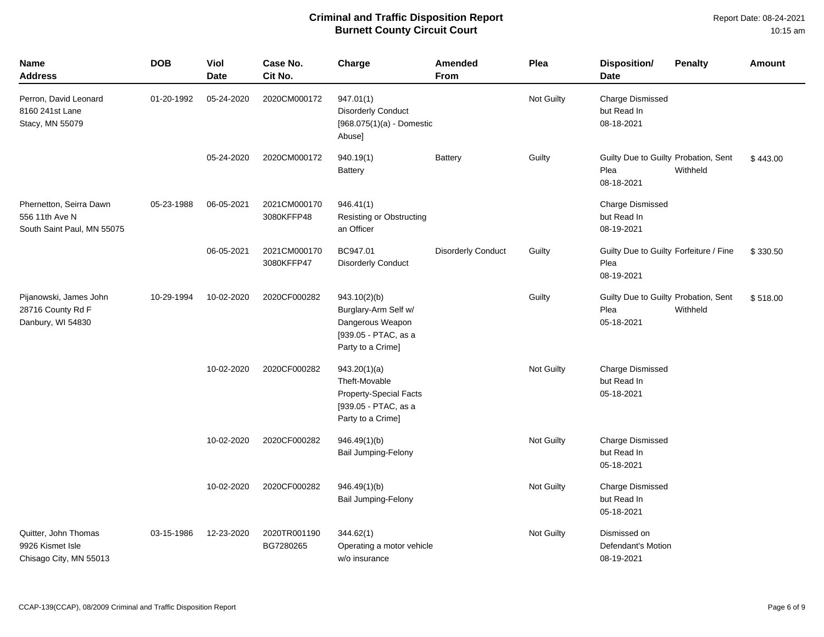| <b>Name</b><br><b>Address</b>                                           | <b>DOB</b> | <b>Viol</b><br><b>Date</b> | Case No.<br>Cit No.        | Charge                                                                                                      | <b>Amended</b><br>From    | Plea       | <b>Disposition/</b><br><b>Penalty</b><br><b>Date</b>                   | <b>Amount</b> |
|-------------------------------------------------------------------------|------------|----------------------------|----------------------------|-------------------------------------------------------------------------------------------------------------|---------------------------|------------|------------------------------------------------------------------------|---------------|
| Perron, David Leonard<br>8160 241st Lane<br>Stacy, MN 55079             | 01-20-1992 | 05-24-2020                 | 2020CM000172               | 947.01(1)<br><b>Disorderly Conduct</b><br>$[968.075(1)(a) -$ Domestic<br>Abuse]                             |                           | Not Guilty | <b>Charge Dismissed</b><br>but Read In<br>08-18-2021                   |               |
|                                                                         |            | 05-24-2020                 | 2020CM000172               | 940.19(1)<br><b>Battery</b>                                                                                 | <b>Battery</b>            | Guilty     | Guilty Due to Guilty Probation, Sent<br>Plea<br>Withheld<br>08-18-2021 | \$443.00      |
| Phernetton, Seirra Dawn<br>556 11th Ave N<br>South Saint Paul, MN 55075 | 05-23-1988 | 06-05-2021                 | 2021CM000170<br>3080KFFP48 | 946.41(1)<br><b>Resisting or Obstructing</b><br>an Officer                                                  |                           |            | <b>Charge Dismissed</b><br>but Read In<br>08-19-2021                   |               |
|                                                                         |            | 06-05-2021                 | 2021CM000170<br>3080KFFP47 | BC947.01<br><b>Disorderly Conduct</b>                                                                       | <b>Disorderly Conduct</b> | Guilty     | Guilty Due to Guilty Forfeiture / Fine<br>Plea<br>08-19-2021           | \$330.50      |
| Pijanowski, James John<br>28716 County Rd F<br>Danbury, WI 54830        | 10-29-1994 | 10-02-2020                 | 2020CF000282               | 943.10(2)(b)<br>Burglary-Arm Self w/<br>Dangerous Weapon<br>[939.05 - PTAC, as a<br>Party to a Crime]       |                           | Guilty     | Guilty Due to Guilty Probation, Sent<br>Plea<br>Withheld<br>05-18-2021 | \$518.00      |
|                                                                         |            | 10-02-2020                 | 2020CF000282               | 943.20(1)(a)<br>Theft-Movable<br><b>Property-Special Facts</b><br>[939.05 - PTAC, as a<br>Party to a Crime] |                           | Not Guilty | <b>Charge Dismissed</b><br>but Read In<br>05-18-2021                   |               |
|                                                                         |            | 10-02-2020                 | 2020CF000282               | 946.49(1)(b)<br>Bail Jumping-Felony                                                                         |                           | Not Guilty | <b>Charge Dismissed</b><br>but Read In<br>05-18-2021                   |               |
|                                                                         |            | 10-02-2020                 | 2020CF000282               | 946.49(1)(b)<br>Bail Jumping-Felony                                                                         |                           | Not Guilty | <b>Charge Dismissed</b><br>but Read In<br>05-18-2021                   |               |
| Quitter, John Thomas<br>9926 Kismet Isle<br>Chisago City, MN 55013      | 03-15-1986 | 12-23-2020                 | 2020TR001190<br>BG7280265  | 344.62(1)<br>Operating a motor vehicle<br>w/o insurance                                                     |                           | Not Guilty | Dismissed on<br>Defendant's Motion<br>08-19-2021                       |               |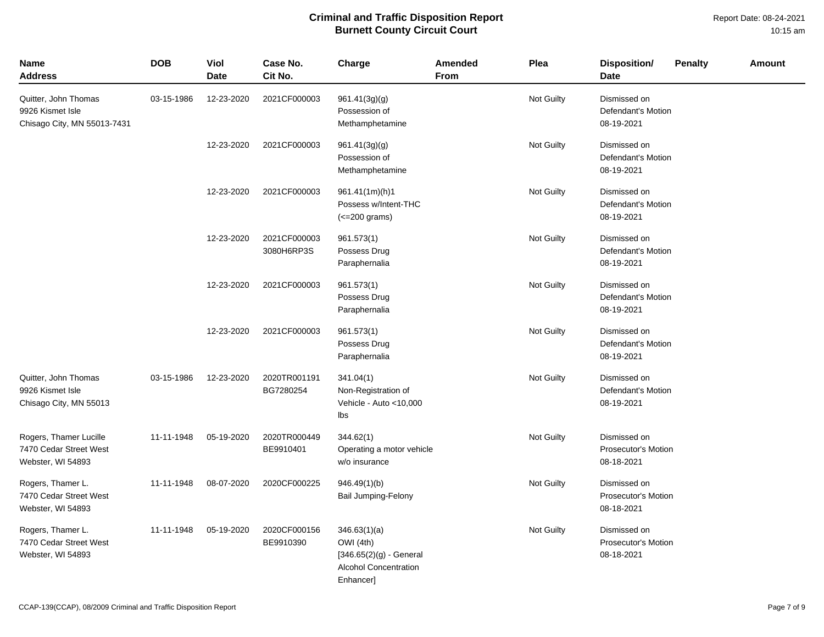Report Date: 08-24-2021 10:15 am

| <b>Name</b><br><b>Address</b>                                           | <b>DOB</b> | Viol<br><b>Date</b> | Case No.<br>Cit No.        | Charge                                                                                                      | Amended<br><b>From</b> | Plea              | <b>Disposition/</b><br><b>Penalty</b><br><b>Amount</b><br><b>Date</b> |
|-------------------------------------------------------------------------|------------|---------------------|----------------------------|-------------------------------------------------------------------------------------------------------------|------------------------|-------------------|-----------------------------------------------------------------------|
| Quitter, John Thomas<br>9926 Kismet Isle<br>Chisago City, MN 55013-7431 | 03-15-1986 | 12-23-2020          | 2021CF000003               | 961.41(3g)(g)<br>Possession of<br>Methamphetamine                                                           |                        | Not Guilty        | Dismissed on<br>Defendant's Motion<br>08-19-2021                      |
|                                                                         |            | 12-23-2020          | 2021CF000003               | 961.41(3g)(g)<br>Possession of<br>Methamphetamine                                                           |                        | Not Guilty        | Dismissed on<br>Defendant's Motion<br>08-19-2021                      |
|                                                                         |            | 12-23-2020          | 2021CF000003               | 961.41(1m)(h)1<br>Possess w/Intent-THC<br>$\left($ < = 200 grams)                                           |                        | Not Guilty        | Dismissed on<br>Defendant's Motion<br>08-19-2021                      |
|                                                                         |            | 12-23-2020          | 2021CF000003<br>3080H6RP3S | 961.573(1)<br>Possess Drug<br>Paraphernalia                                                                 |                        | Not Guilty        | Dismissed on<br>Defendant's Motion<br>08-19-2021                      |
|                                                                         |            | 12-23-2020          | 2021CF000003               | 961.573(1)<br>Possess Drug<br>Paraphernalia                                                                 |                        | <b>Not Guilty</b> | Dismissed on<br>Defendant's Motion<br>08-19-2021                      |
|                                                                         |            | 12-23-2020          | 2021CF000003               | 961.573(1)<br>Possess Drug<br>Paraphernalia                                                                 |                        | Not Guilty        | Dismissed on<br>Defendant's Motion<br>08-19-2021                      |
| Quitter, John Thomas<br>9926 Kismet Isle<br>Chisago City, MN 55013      | 03-15-1986 | 12-23-2020          | 2020TR001191<br>BG7280254  | 341.04(1)<br>Non-Registration of<br>Vehicle - Auto <10,000<br>Ibs                                           |                        | <b>Not Guilty</b> | Dismissed on<br>Defendant's Motion<br>08-19-2021                      |
| Rogers, Thamer Lucille<br>7470 Cedar Street West<br>Webster, WI 54893   | 11-11-1948 | 05-19-2020          | 2020TR000449<br>BE9910401  | 344.62(1)<br>Operating a motor vehicle<br>w/o insurance                                                     |                        | Not Guilty        | Dismissed on<br>Prosecutor's Motion<br>08-18-2021                     |
| Rogers, Thamer L.<br>7470 Cedar Street West<br>Webster, WI 54893        | 11-11-1948 | 08-07-2020          | 2020CF000225               | 946.49(1)(b)<br><b>Bail Jumping-Felony</b>                                                                  |                        | Not Guilty        | Dismissed on<br>Prosecutor's Motion<br>08-18-2021                     |
| Rogers, Thamer L.<br>7470 Cedar Street West<br>Webster, WI 54893        | 11-11-1948 | 05-19-2020          | 2020CF000156<br>BE9910390  | 346.63(1)(a)<br>OWI (4th)<br>$[346.65(2)(g) - General]$<br><b>Alcohol Concentration</b><br><b>Enhancer]</b> |                        | Not Guilty        | Dismissed on<br>Prosecutor's Motion<br>08-18-2021                     |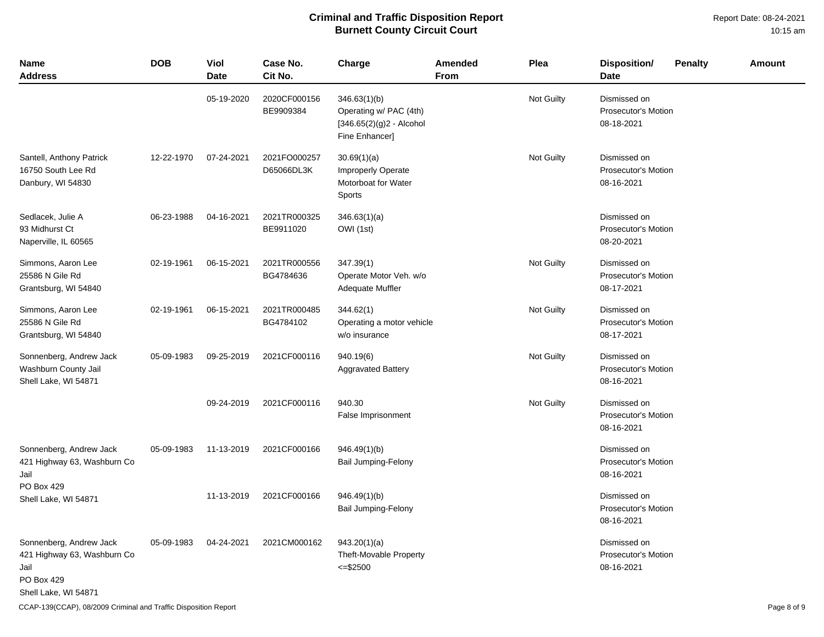Report Date: 08-24-2021 10:15 am

| <b>Name</b><br><b>Address</b>                                                                        | <b>DOB</b> | Viol<br><b>Date</b> | Case No.<br>Cit No.        | Charge                                                                                  | Amended<br>From | Plea       | <b>Disposition/</b><br><b>Date</b>                       | <b>Penalty</b> | <b>Amount</b> |
|------------------------------------------------------------------------------------------------------|------------|---------------------|----------------------------|-----------------------------------------------------------------------------------------|-----------------|------------|----------------------------------------------------------|----------------|---------------|
|                                                                                                      |            | 05-19-2020          | 2020CF000156<br>BE9909384  | 346.63(1)(b)<br>Operating w/ PAC (4th)<br>$[346.65(2)(g)2 - Alcohol]$<br>Fine Enhancer] |                 | Not Guilty | Dismissed on<br><b>Prosecutor's Motion</b><br>08-18-2021 |                |               |
| Santell, Anthony Patrick<br>16750 South Lee Rd<br>Danbury, WI 54830                                  | 12-22-1970 | 07-24-2021          | 2021FO000257<br>D65066DL3K | 30.69(1)(a)<br>Improperly Operate<br>Motorboat for Water<br>Sports                      |                 | Not Guilty | Dismissed on<br><b>Prosecutor's Motion</b><br>08-16-2021 |                |               |
| Sedlacek, Julie A<br>93 Midhurst Ct<br>Naperville, IL 60565                                          | 06-23-1988 | 04-16-2021          | 2021TR000325<br>BE9911020  | 346.63(1)(a)<br>OWI (1st)                                                               |                 |            | Dismissed on<br>Prosecutor's Motion<br>08-20-2021        |                |               |
| Simmons, Aaron Lee<br>25586 N Gile Rd<br>Grantsburg, WI 54840                                        | 02-19-1961 | 06-15-2021          | 2021TR000556<br>BG4784636  | 347.39(1)<br>Operate Motor Veh. w/o<br>Adequate Muffler                                 |                 | Not Guilty | Dismissed on<br><b>Prosecutor's Motion</b><br>08-17-2021 |                |               |
| Simmons, Aaron Lee<br>25586 N Gile Rd<br>Grantsburg, WI 54840                                        | 02-19-1961 | 06-15-2021          | 2021TR000485<br>BG4784102  | 344.62(1)<br>Operating a motor vehicle<br>w/o insurance                                 |                 | Not Guilty | Dismissed on<br><b>Prosecutor's Motion</b><br>08-17-2021 |                |               |
| Sonnenberg, Andrew Jack<br>Washburn County Jail<br>Shell Lake, WI 54871                              | 05-09-1983 | 09-25-2019          | 2021CF000116               | 940.19(6)<br><b>Aggravated Battery</b>                                                  |                 | Not Guilty | Dismissed on<br>Prosecutor's Motion<br>08-16-2021        |                |               |
|                                                                                                      |            | 09-24-2019          | 2021CF000116               | 940.30<br>False Imprisonment                                                            |                 | Not Guilty | Dismissed on<br><b>Prosecutor's Motion</b><br>08-16-2021 |                |               |
| Sonnenberg, Andrew Jack<br>421 Highway 63, Washburn Co<br>Jail                                       | 05-09-1983 | 11-13-2019          | 2021CF000166               | 946.49(1)(b)<br>Bail Jumping-Felony                                                     |                 |            | Dismissed on<br><b>Prosecutor's Motion</b><br>08-16-2021 |                |               |
| PO Box 429<br>Shell Lake, WI 54871                                                                   |            | 11-13-2019          | 2021CF000166               | 946.49(1)(b)<br>Bail Jumping-Felony                                                     |                 |            | Dismissed on<br><b>Prosecutor's Motion</b><br>08-16-2021 |                |               |
| Sonnenberg, Andrew Jack<br>421 Highway 63, Washburn Co<br>Jail<br>PO Box 429<br>Shell Lake, WI 54871 | 05-09-1983 | 04-24-2021          | 2021CM000162               | 943.20(1)(a)<br>Theft-Movable Property<br>$\leq$ \$2500                                 |                 |            | Dismissed on<br>Prosecutor's Motion<br>08-16-2021        |                |               |

CCAP-139(CCAP), 08/2009 Criminal and Traffic Disposition Report **Page 8 of 9** and Traffic Disposition Report Page 8 of 9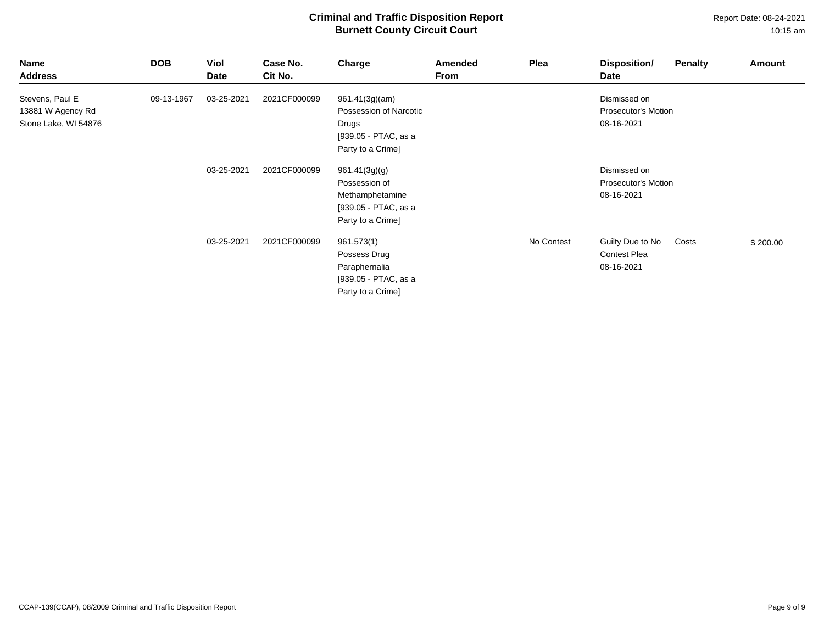| Name<br><b>Address</b>                                       | <b>DOB</b> | Viol<br>Date | Case No.<br>Cit No. | Charge                                                                                         | Amended<br>From | Plea       | Disposition/<br>Penalty<br>Date                                | <b>Amount</b> |
|--------------------------------------------------------------|------------|--------------|---------------------|------------------------------------------------------------------------------------------------|-----------------|------------|----------------------------------------------------------------|---------------|
| Stevens, Paul E<br>13881 W Agency Rd<br>Stone Lake, WI 54876 | 09-13-1967 | 03-25-2021   | 2021CF000099        | 961.41(3g)(am)<br>Possession of Narcotic<br>Drugs<br>[939.05 - PTAC, as a<br>Party to a Crime] |                 |            | Dismissed on<br>Prosecutor's Motion<br>08-16-2021              |               |
|                                                              |            | 03-25-2021   | 2021CF000099        | 961.41(3g)(g)<br>Possession of<br>Methamphetamine<br>[939.05 - PTAC, as a<br>Party to a Crime] |                 |            | Dismissed on<br>Prosecutor's Motion<br>08-16-2021              |               |
|                                                              |            | 03-25-2021   | 2021CF000099        | 961.573(1)<br>Possess Drug<br>Paraphernalia<br>[939.05 - PTAC, as a<br>Party to a Crime]       |                 | No Contest | Guilty Due to No<br>Costs<br><b>Contest Plea</b><br>08-16-2021 | \$200.00      |